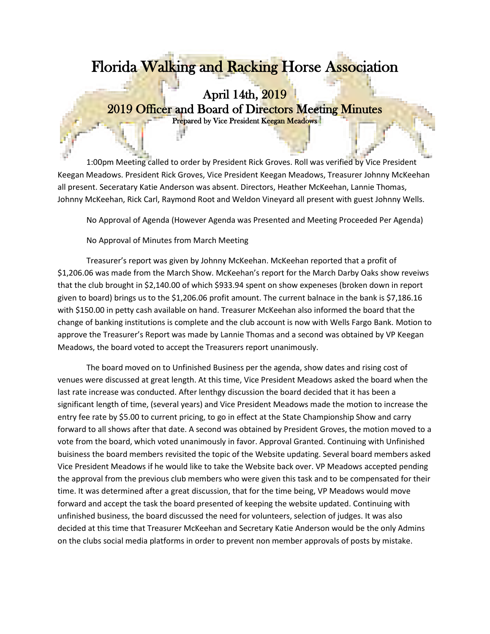## Florida Walking and Racking Horse Association

## April 14th, 2019 2019 Officer and Board of Directors Meeting Minutes Prepared by Vice President Keegan Meadows

1:00pm Meeting called to order by President Rick Groves. Roll was verified by Vice President Keegan Meadows. President Rick Groves, Vice President Keegan Meadows, Treasurer Johnny McKeehan all present. Seceratary Katie Anderson was absent. Directors, Heather McKeehan, Lannie Thomas, Johnny McKeehan, Rick Carl, Raymond Root and Weldon Vineyard all present with guest Johnny Wells.

No Approval of Agenda (However Agenda was Presented and Meeting Proceeded Per Agenda)

No Approval of Minutes from March Meeting

Treasurer's report was given by Johnny McKeehan. McKeehan reported that a profit of \$1,206.06 was made from the March Show. McKeehan's report for the March Darby Oaks show reveiws that the club brought in \$2,140.00 of which \$933.94 spent on show expeneses (broken down in report given to board) brings us to the \$1,206.06 profit amount. The current balnace in the bank is \$7,186.16 with \$150.00 in petty cash available on hand. Treasurer McKeehan also informed the board that the change of banking institutions is complete and the club account is now with Wells Fargo Bank. Motion to approve the Treasurer's Report was made by Lannie Thomas and a second was obtained by VP Keegan Meadows, the board voted to accept the Treasurers report unanimously.

The board moved on to Unfinished Business per the agenda, show dates and rising cost of venues were discussed at great length. At this time, Vice President Meadows asked the board when the last rate increase was conducted. After lenthgy discussion the board decided that it has been a significant length of time, (several years) and Vice President Meadows made the motion to increase the entry fee rate by \$5.00 to current pricing, to go in effect at the State Championship Show and carry forward to all shows after that date. A second was obtained by President Groves, the motion moved to a vote from the board, which voted unanimously in favor. Approval Granted. Continuing with Unfinished buisiness the board members revisited the topic of the Website updating. Several board members asked Vice President Meadows if he would like to take the Website back over. VP Meadows accepted pending the approval from the previous club members who were given this task and to be compensated for their time. It was determined after a great discussion, that for the time being, VP Meadows would move forward and accept the task the board presented of keeping the website updated. Continuing with unfinished business, the board discussed the need for volunteers, selection of judges. It was also decided at this time that Treasurer McKeehan and Secretary Katie Anderson would be the only Admins on the clubs social media platforms in order to prevent non member approvals of posts by mistake.